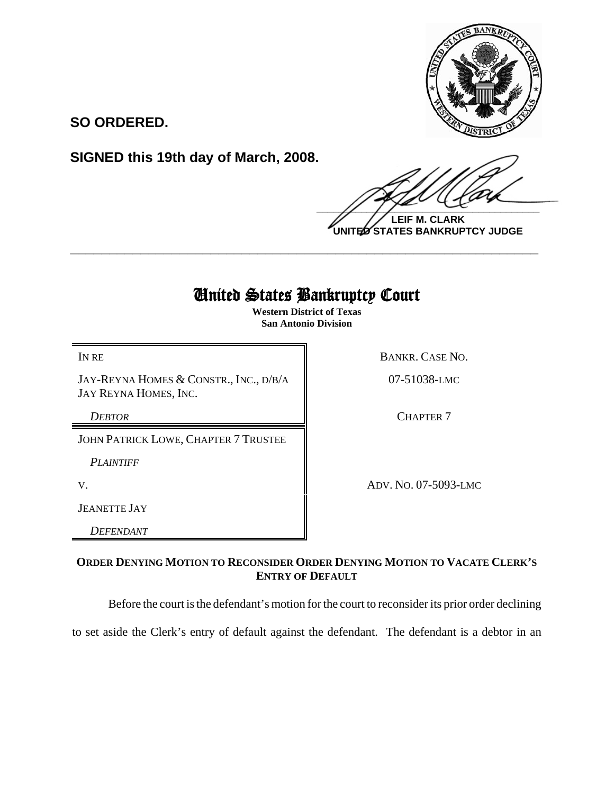

**SO ORDERED.**

**SIGNED this 19th day of March, 2008.**

 $\frac{1}{2}$ 

**LEIF M. CLARK UNITED STATES BANKRUPTCY JUDGE**

## United States Bankruptcy Court

**\_\_\_\_\_\_\_\_\_\_\_\_\_\_\_\_\_\_\_\_\_\_\_\_\_\_\_\_\_\_\_\_\_\_\_\_\_\_\_\_\_\_\_\_\_\_\_\_\_\_\_\_\_\_\_\_\_\_\_\_**

**Western District of Texas San Antonio Division**

JAY-REYNA HOMES & CONSTR., INC., D/B/A JAY REYNA HOMES, INC.

JOHN PATRICK LOWE, CHAPTER 7 TRUSTEE

*PLAINTIFF* 

JEANETTE JAY

*DEFENDANT*

IN RE BANKR. CASE NO.

07-51038-LMC

**DEBTOR** CHAPTER 7

V. ADV. NO. 07-5093-LMC

## **ORDER DENYING MOTION TO RECONSIDER ORDER DENYING MOTION TO VACATE CLERK'S ENTRY OF DEFAULT**

Before the court is the defendant's motion for the court to reconsider its prior order declining

to set aside the Clerk's entry of default against the defendant. The defendant is a debtor in an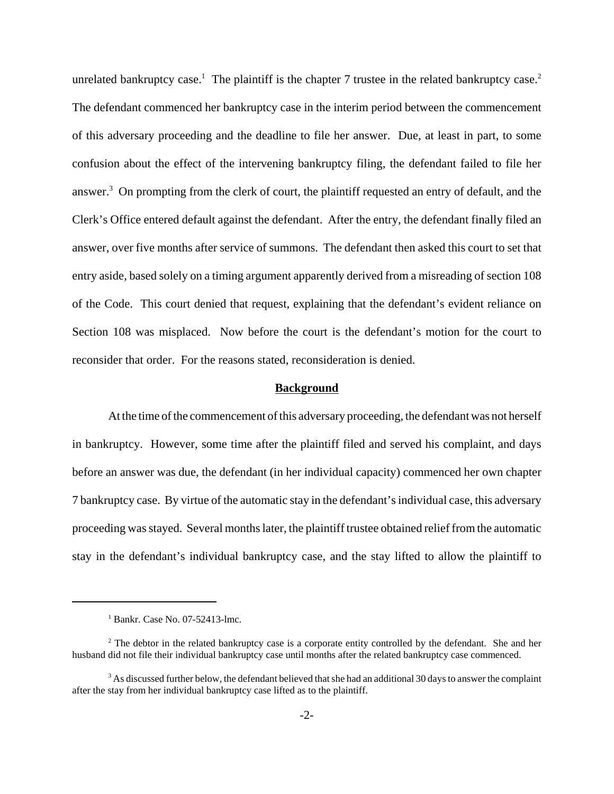unrelated bankruptcy case.<sup>1</sup> The plaintiff is the chapter 7 trustee in the related bankruptcy case.<sup>2</sup> The defendant commenced her bankruptcy case in the interim period between the commencement of this adversary proceeding and the deadline to file her answer. Due, at least in part, to some confusion about the effect of the intervening bankruptcy filing, the defendant failed to file her answer.<sup>3</sup> On prompting from the clerk of court, the plaintiff requested an entry of default, and the Clerk's Office entered default against the defendant. After the entry, the defendant finally filed an answer, over five months after service of summons. The defendant then asked this court to set that entry aside, based solely on a timing argument apparently derived from a misreading of section 108 of the Code. This court denied that request, explaining that the defendant's evident reliance on Section 108 was misplaced. Now before the court is the defendant's motion for the court to reconsider that order. For the reasons stated, reconsideration is denied.

## **Background**

At the time of the commencement of this adversary proceeding, the defendant was not herself in bankruptcy. However, some time after the plaintiff filed and served his complaint, and days before an answer was due, the defendant (in her individual capacity) commenced her own chapter 7 bankruptcy case. By virtue of the automatic stay in the defendant's individual case, this adversary proceeding was stayed. Several months later, the plaintiff trustee obtained relief from the automatic stay in the defendant's individual bankruptcy case, and the stay lifted to allow the plaintiff to

<sup>1</sup> Bankr. Case No. 07-52413-lmc.

 $2^2$  The debtor in the related bankruptcy case is a corporate entity controlled by the defendant. She and her husband did not file their individual bankruptcy case until months after the related bankruptcy case commenced.

 $3$  As discussed further below, the defendant believed that she had an additional 30 days to answer the complaint after the stay from her individual bankruptcy case lifted as to the plaintiff.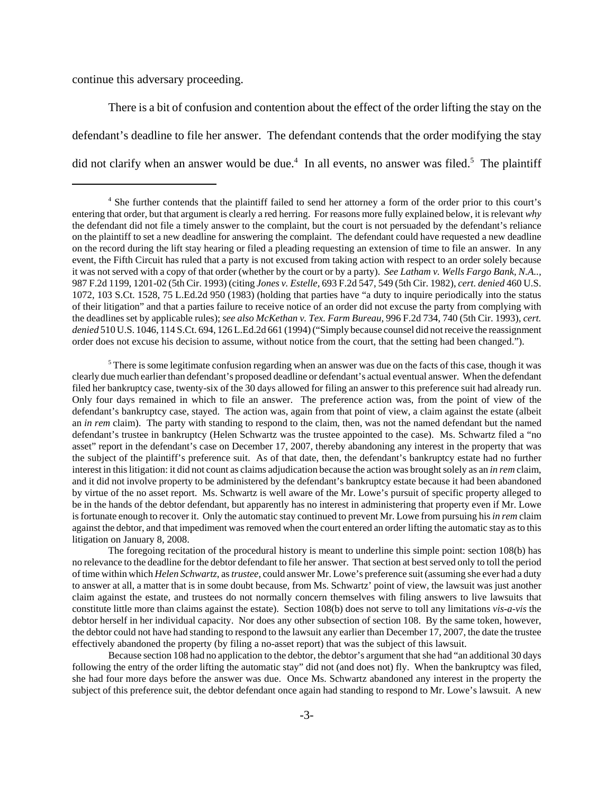continue this adversary proceeding.

There is a bit of confusion and contention about the effect of the order lifting the stay on the defendant's deadline to file her answer. The defendant contends that the order modifying the stay did not clarify when an answer would be due.<sup>4</sup> In all events, no answer was filed.<sup>5</sup> The plaintiff

 $5$  There is some legitimate confusion regarding when an answer was due on the facts of this case, though it was clearly due much earlier than defendant's proposed deadline or defendant's actual eventual answer. When the defendant filed her bankruptcy case, twenty-six of the 30 days allowed for filing an answer to this preference suit had already run. Only four days remained in which to file an answer. The preference action was, from the point of view of the defendant's bankruptcy case, stayed. The action was, again from that point of view, a claim against the estate (albeit an *in rem* claim). The party with standing to respond to the claim, then, was not the named defendant but the named defendant's trustee in bankruptcy (Helen Schwartz was the trustee appointed to the case). Ms. Schwartz filed a "no asset" report in the defendant's case on December 17, 2007, thereby abandoning any interest in the property that was the subject of the plaintiff's preference suit. As of that date, then, the defendant's bankruptcy estate had no further interest in this litigation: it did not count as claims adjudication because the action was brought solely as an *in rem* claim, and it did not involve property to be administered by the defendant's bankruptcy estate because it had been abandoned by virtue of the no asset report. Ms. Schwartz is well aware of the Mr. Lowe's pursuit of specific property alleged to be in the hands of the debtor defendant, but apparently has no interest in administering that property even if Mr. Lowe is fortunate enough to recover it. Only the automatic stay continued to prevent Mr. Lowe from pursuing his *in rem* claim against the debtor, and that impediment was removed when the court entered an order lifting the automatic stay as to this litigation on January 8, 2008.

The foregoing recitation of the procedural history is meant to underline this simple point: section 108(b) has no relevance to the deadline for the debtor defendant to file her answer. That section at best served only to toll the period of time within which *Helen Schwartz*, as *trustee*, could answer Mr. Lowe's preference suit (assuming she ever had a duty to answer at all, a matter that is in some doubt because, from Ms. Schwartz' point of view, the lawsuit was just another claim against the estate, and trustees do not normally concern themselves with filing answers to live lawsuits that constitute little more than claims against the estate). Section 108(b) does not serve to toll any limitations *vis-a-vis* the debtor herself in her individual capacity. Nor does any other subsection of section 108. By the same token, however, the debtor could not have had standing to respond to the lawsuit any earlier than December 17, 2007, the date the trustee effectively abandoned the property (by filing a no-asset report) that was the subject of this lawsuit.

Because section 108 had no application to the debtor, the debtor's argument that she had "an additional 30 days following the entry of the order lifting the automatic stay" did not (and does not) fly. When the bankruptcy was filed, she had four more days before the answer was due. Once Ms. Schwartz abandoned any interest in the property the subject of this preference suit, the debtor defendant once again had standing to respond to Mr. Lowe's lawsuit. A new

<sup>4</sup> She further contends that the plaintiff failed to send her attorney a form of the order prior to this court's entering that order, but that argument is clearly a red herring. For reasons more fully explained below, it is relevant *why* the defendant did not file a timely answer to the complaint, but the court is not persuaded by the defendant's reliance on the plaintiff to set a new deadline for answering the complaint. The defendant could have requested a new deadline on the record during the lift stay hearing or filed a pleading requesting an extension of time to file an answer. In any event, the Fifth Circuit has ruled that a party is not excused from taking action with respect to an order solely because it was not served with a copy of that order (whether by the court or by a party). *See Latham v. Wells Fargo Bank, N.A..,* 987 F.2d 1199, 1201-02 (5th Cir. 1993) (citing *Jones v. Estelle,* 693 F.2d 547, 549 (5th Cir. 1982), *cert. denied* 460 U.S. 1072, 103 S.Ct. 1528, 75 L.Ed.2d 950 (1983) (holding that parties have "a duty to inquire periodically into the status of their litigation" and that a parties failure to receive notice of an order did not excuse the party from complying with the deadlines set by applicable rules); *see also McKethan v. Tex. Farm Bureau,* 996 F.2d 734, 740 (5th Cir. 1993), *cert. denied* 510 U.S. 1046, 114 S.Ct. 694, 126 L.Ed.2d 661 (1994) ("Simply because counsel did not receive the reassignment order does not excuse his decision to assume, without notice from the court, that the setting had been changed.").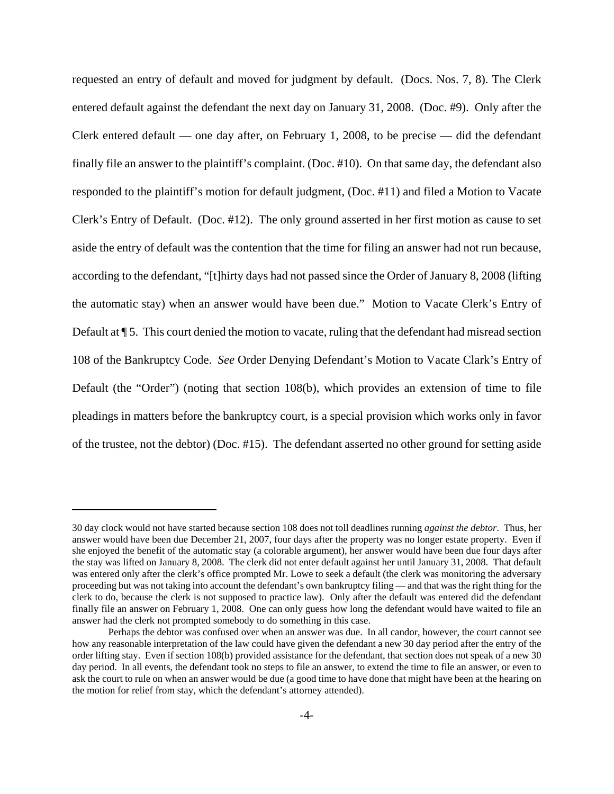requested an entry of default and moved for judgment by default. (Docs. Nos. 7, 8). The Clerk entered default against the defendant the next day on January 31, 2008. (Doc. #9). Only after the Clerk entered default — one day after, on February 1, 2008, to be precise — did the defendant finally file an answer to the plaintiff's complaint. (Doc. #10). On that same day, the defendant also responded to the plaintiff's motion for default judgment, (Doc. #11) and filed a Motion to Vacate Clerk's Entry of Default. (Doc. #12). The only ground asserted in her first motion as cause to set aside the entry of default was the contention that the time for filing an answer had not run because, according to the defendant, "[t]hirty days had not passed since the Order of January 8, 2008 (lifting the automatic stay) when an answer would have been due." Motion to Vacate Clerk's Entry of Default at  $\P$  5. This court denied the motion to vacate, ruling that the defendant had misread section 108 of the Bankruptcy Code. *See* Order Denying Defendant's Motion to Vacate Clark's Entry of Default (the "Order") (noting that section 108(b), which provides an extension of time to file pleadings in matters before the bankruptcy court, is a special provision which works only in favor of the trustee, not the debtor) (Doc. #15). The defendant asserted no other ground for setting aside

<sup>30</sup> day clock would not have started because section 108 does not toll deadlines running *against the debtor*. Thus, her answer would have been due December 21, 2007, four days after the property was no longer estate property. Even if she enjoyed the benefit of the automatic stay (a colorable argument), her answer would have been due four days after the stay was lifted on January 8, 2008. The clerk did not enter default against her until January 31, 2008. That default was entered only after the clerk's office prompted Mr. Lowe to seek a default (the clerk was monitoring the adversary proceeding but was not taking into account the defendant's own bankruptcy filing — and that was the right thing for the clerk to do, because the clerk is not supposed to practice law). Only after the default was entered did the defendant finally file an answer on February 1, 2008. One can only guess how long the defendant would have waited to file an answer had the clerk not prompted somebody to do something in this case.

Perhaps the debtor was confused over when an answer was due. In all candor, however, the court cannot see how any reasonable interpretation of the law could have given the defendant a new 30 day period after the entry of the order lifting stay. Even if section 108(b) provided assistance for the defendant, that section does not speak of a new 30 day period. In all events, the defendant took no steps to file an answer, to extend the time to file an answer, or even to ask the court to rule on when an answer would be due (a good time to have done that might have been at the hearing on the motion for relief from stay, which the defendant's attorney attended).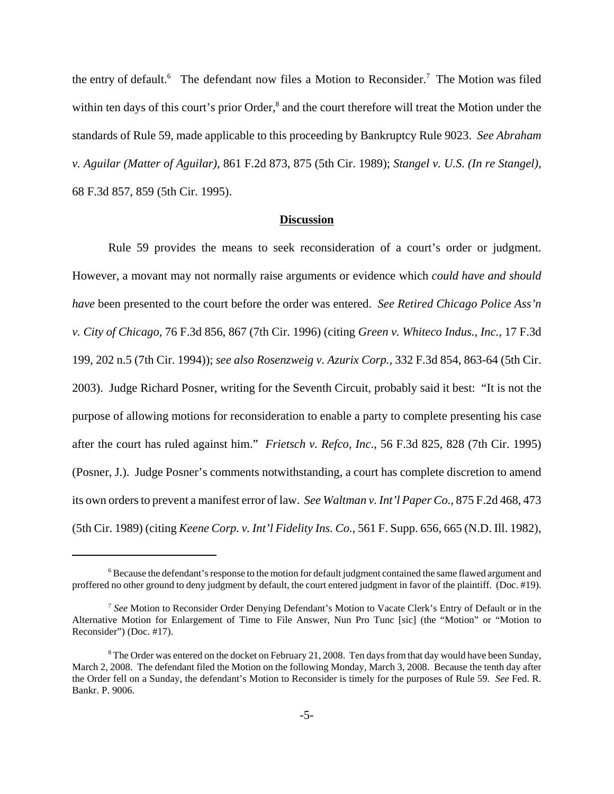the entry of default.<sup>6</sup> The defendant now files a Motion to Reconsider.<sup>7</sup> The Motion was filed within ten days of this court's prior Order,<sup>8</sup> and the court therefore will treat the Motion under the standards of Rule 59, made applicable to this proceeding by Bankruptcy Rule 9023. *See Abraham v. Aguilar (Matter of Aguilar),* 861 F.2d 873, 875 (5th Cir. 1989); *Stangel v. U.S. (In re Stangel),* 68 F.3d 857, 859 (5th Cir. 1995).

## **Discussion**

Rule 59 provides the means to seek reconsideration of a court's order or judgment. However, a movant may not normally raise arguments or evidence which *could have and should have* been presented to the court before the order was entered. *See Retired Chicago Police Ass'n v. City of Chicago,* 76 F.3d 856, 867 (7th Cir. 1996) (citing *Green v. Whiteco Indus., Inc.,* 17 F.3d 199, 202 n.5 (7th Cir. 1994)); *see also Rosenzweig v. Azurix Corp.,* 332 F.3d 854, 863-64 (5th Cir. 2003). Judge Richard Posner, writing for the Seventh Circuit, probably said it best: "It is not the purpose of allowing motions for reconsideration to enable a party to complete presenting his case after the court has ruled against him." *Frietsch v. Refco, Inc*., 56 F.3d 825, 828 (7th Cir. 1995) (Posner, J.). Judge Posner's comments notwithstanding, a court has complete discretion to amend its own orders to prevent a manifest error of law. *See Waltman v. Int'l Paper Co.,* 875 F.2d 468, 473 (5th Cir. 1989) (citing *Keene Corp. v. Int'l Fidelity Ins. Co.,* 561 F. Supp. 656, 665 (N.D. Ill. 1982),

<sup>&</sup>lt;sup>6</sup> Because the defendant's response to the motion for default judgment contained the same flawed argument and proffered no other ground to deny judgment by default, the court entered judgment in favor of the plaintiff. (Doc. #19).

<sup>7</sup> *See* Motion to Reconsider Order Denying Defendant's Motion to Vacate Clerk's Entry of Default or in the Alternative Motion for Enlargement of Time to File Answer, Nun Pro Tunc [sic] (the "Motion" or "Motion to Reconsider") (Doc. #17).

 $8$  The Order was entered on the docket on February 21, 2008. Ten days from that day would have been Sunday, March 2, 2008. The defendant filed the Motion on the following Monday, March 3, 2008. Because the tenth day after the Order fell on a Sunday, the defendant's Motion to Reconsider is timely for the purposes of Rule 59. *See* Fed. R. Bankr. P. 9006.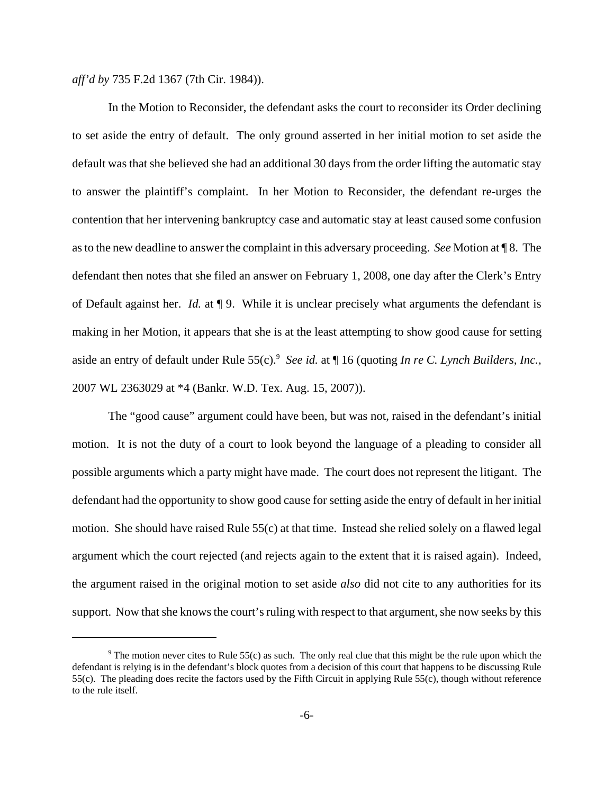*aff'd by* 735 F.2d 1367 (7th Cir. 1984)).

In the Motion to Reconsider, the defendant asks the court to reconsider its Order declining to set aside the entry of default. The only ground asserted in her initial motion to set aside the default was that she believed she had an additional 30 days from the order lifting the automatic stay to answer the plaintiff's complaint. In her Motion to Reconsider, the defendant re-urges the contention that her intervening bankruptcy case and automatic stay at least caused some confusion as to the new deadline to answer the complaint in this adversary proceeding. *See* Motion at ¶ 8. The defendant then notes that she filed an answer on February 1, 2008, one day after the Clerk's Entry of Default against her. *Id.* at ¶ 9. While it is unclear precisely what arguments the defendant is making in her Motion, it appears that she is at the least attempting to show good cause for setting aside an entry of default under Rule 55(c).<sup>9</sup> See id. at ¶ 16 (quoting *In re C. Lynch Builders, Inc.,* 2007 WL 2363029 at \*4 (Bankr. W.D. Tex. Aug. 15, 2007)).

The "good cause" argument could have been, but was not, raised in the defendant's initial motion. It is not the duty of a court to look beyond the language of a pleading to consider all possible arguments which a party might have made. The court does not represent the litigant. The defendant had the opportunity to show good cause for setting aside the entry of default in her initial motion. She should have raised Rule 55(c) at that time. Instead she relied solely on a flawed legal argument which the court rejected (and rejects again to the extent that it is raised again). Indeed, the argument raised in the original motion to set aside *also* did not cite to any authorities for its support. Now that she knows the court's ruling with respect to that argument, she now seeks by this

<sup>&</sup>lt;sup>9</sup> The motion never cites to Rule 55(c) as such. The only real clue that this might be the rule upon which the defendant is relying is in the defendant's block quotes from a decision of this court that happens to be discussing Rule 55(c). The pleading does recite the factors used by the Fifth Circuit in applying Rule 55(c), though without reference to the rule itself.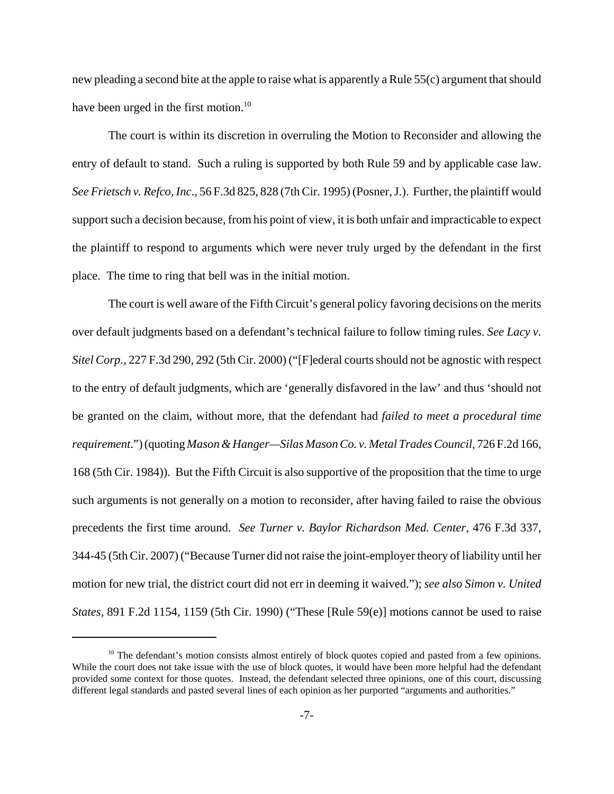new pleading a second bite at the apple to raise what is apparently a Rule 55(c) argument that should have been urged in the first motion.<sup>10</sup>

The court is within its discretion in overruling the Motion to Reconsider and allowing the entry of default to stand. Such a ruling is supported by both Rule 59 and by applicable case law. *See Frietsch v. Refco, Inc*., 56 F.3d 825, 828 (7th Cir. 1995) (Posner, J.). Further, the plaintiff would support such a decision because, from his point of view, it is both unfair and impracticable to expect the plaintiff to respond to arguments which were never truly urged by the defendant in the first place. The time to ring that bell was in the initial motion.

The court is well aware of the Fifth Circuit's general policy favoring decisions on the merits over default judgments based on a defendant's technical failure to follow timing rules. *See Lacy v. Sitel Corp.,* 227 F.3d 290, 292 (5th Cir. 2000) ("[F]ederal courts should not be agnostic with respect to the entry of default judgments, which are 'generally disfavored in the law' and thus 'should not be granted on the claim, without more, that the defendant had *failed to meet a procedural time requirement*.") (quoting *Mason & Hanger—Silas Mason Co. v. Metal Trades Council,* 726 F.2d 166, 168 (5th Cir. 1984)). But the Fifth Circuit is also supportive of the proposition that the time to urge such arguments is not generally on a motion to reconsider, after having failed to raise the obvious precedents the first time around. *See Turner v. Baylor Richardson Med. Center,* 476 F.3d 337, 344-45 (5th Cir. 2007) ("Because Turner did not raise the joint-employer theory of liability until her motion for new trial, the district court did not err in deeming it waived."); *see also Simon v. United States,* 891 F.2d 1154, 1159 (5th Cir. 1990) ("These [Rule 59(e)] motions cannot be used to raise

 $10$  The defendant's motion consists almost entirely of block quotes copied and pasted from a few opinions. While the court does not take issue with the use of block quotes, it would have been more helpful had the defendant provided some context for those quotes. Instead, the defendant selected three opinions, one of this court, discussing different legal standards and pasted several lines of each opinion as her purported "arguments and authorities."